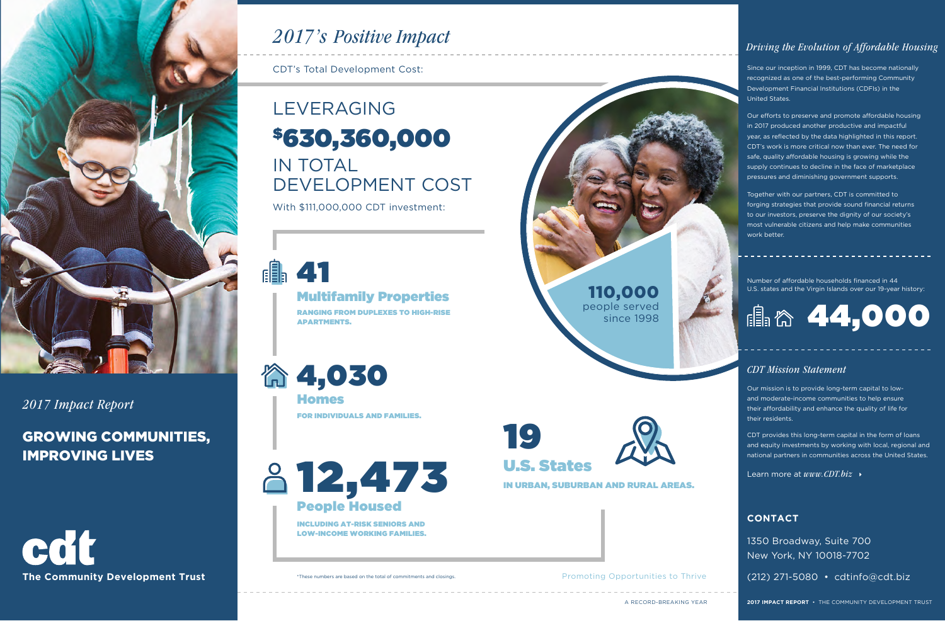110,000 people served since 1998

# LEVERAGING \$630,360,000

IN TOTAL DEVELOPMENT COST

CDT's Total Development Cost:

With \$111,000,000 CDT investment:

4,030 Homes

FOR INDIVIDUALS AND FAMILIES.

12,473 People Housed

> INCLUDING AT-RISK SENIORS AND LOW-INCOME WORKING FAMILIES.

\*These numbers are based on the total of commitments and closings.

# 41

## Multifamily Properties

RANGING FROM DUPLEXES TO HIGH-RISE APARTMENTS.

## *2017's Positive Impact*

19 U.S. States



IN URBAN, SUBURBAN AND RURAL AREAS.



GROWING COMMUNITIES, IMPROVING LIVES



## *2017 Impact Report*

Since our inception in 1999, CDT has become nationally recognized as one of the best-performing Community Development Financial Institutions (CDFIs) in the United States.

Our efforts to preserve and promote affordable housing in 2017 produced another productive and impactful year, as reflected by the data highlighted in this report. CDT's work is more critical now than ever. The need for safe, quality affordable housing is growing while the supply continues to decline in the face of marketplace pressures and diminishing government supports.

Together with our partners, CDT is committed to forging strategies that provide sound financial returns to our investors, preserve the dignity of our society's most vulnerable citizens and help make communities work better.

### *Driving the Evolution of Affordable Housing*

Number of affordable households financed in 44 U.S. states and the Virgin Islands over our 19-year history:



Our mission is to provide long-term capital to lowand moderate-income communities to help ensure their affordability and enhance the quality of life for their residents.

CDT provides this long-term capital in the form of loans and equity investments by working with local, regional and national partners in communities across the United States.

Learn more at *www.CDT.biz*

### *CDT Mission Statement*

1350 Broadway, Suite 700 New York, NY 10018-7702

(212) 271-5080 • cdtinfo@cdt.biz

### **CONTACT**